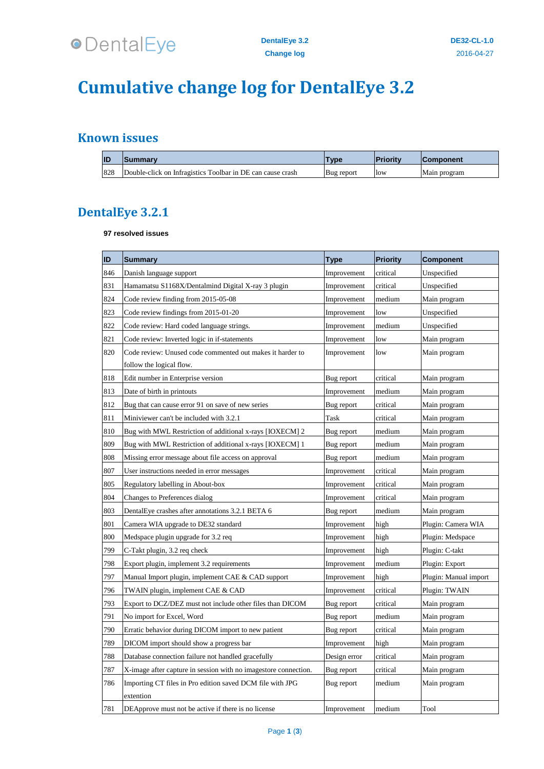

# **Cumulative change log for DentalEye 3.2**

## **Known issues**

| IID | Summary                                                    | <b>VDE</b> | <b>Priority</b> | <b>IComponent</b> |
|-----|------------------------------------------------------------|------------|-----------------|-------------------|
| 828 | Double-click on Infragistics Toolbar in DE can cause crash | Bug report | <b>low</b>      | Main program      |

## **DentalEye 3.2.1**

#### **97 resolved issues**

| ID  | <b>Summary</b>                                                  | <b>Type</b>  | <b>Priority</b> | <b>Component</b>      |
|-----|-----------------------------------------------------------------|--------------|-----------------|-----------------------|
| 846 | Danish language support                                         | Improvement  | critical        | Unspecified           |
| 831 | Hamamatsu S1168X/Dentalmind Digital X-ray 3 plugin              | Improvement  | critical        | Unspecified           |
| 824 | Code review finding from 2015-05-08                             | Improvement  | medium          | Main program          |
| 823 | Code review findings from 2015-01-20                            | Improvement  | low             | Unspecified           |
| 822 | Code review: Hard coded language strings.                       | Improvement  | medium          | Unspecified           |
| 821 | Code review: Inverted logic in if-statements                    | Improvement  | low             | Main program          |
| 820 | Code review: Unused code commented out makes it harder to       | Improvement  | low             | Main program          |
|     | follow the logical flow.                                        |              |                 |                       |
| 818 | Edit number in Enterprise version                               | Bug report   | critical        | Main program          |
| 813 | Date of birth in printouts                                      | Improvement  | medium          | Main program          |
| 812 | Bug that can cause error 91 on save of new series               | Bug report   | critical        | Main program          |
| 811 | Miniviewer can't be included with 3.2.1                         | Task         | critical        | Main program          |
| 810 | Bug with MWL Restriction of additional x-rays [IOXECM] 2        | Bug report   | medium          | Main program          |
| 809 | Bug with MWL Restriction of additional x-rays [IOXECM] 1        | Bug report   | medium          | Main program          |
| 808 | Missing error message about file access on approval             | Bug report   | medium          | Main program          |
| 807 | User instructions needed in error messages                      | Improvement  | critical        | Main program          |
| 805 | Regulatory labelling in About-box                               | Improvement  | critical        | Main program          |
| 804 | Changes to Preferences dialog                                   | Improvement  | critical        | Main program          |
| 803 | DentalEye crashes after annotations 3.2.1 BETA 6                | Bug report   | medium          | Main program          |
| 801 | Camera WIA upgrade to DE32 standard                             | Improvement  | high            | Plugin: Camera WIA    |
| 800 | Medspace plugin upgrade for 3.2 req                             | Improvement  | high            | Plugin: Medspace      |
| 799 | C-Takt plugin, 3.2 req check                                    | Improvement  | high            | Plugin: C-takt        |
| 798 | Export plugin, implement 3.2 requirements                       | Improvement  | medium          | Plugin: Export        |
| 797 | Manual Import plugin, implement CAE & CAD support               | Improvement  | high            | Plugin: Manual import |
| 796 | TWAIN plugin, implement CAE & CAD                               | Improvement  | critical        | Plugin: TWAIN         |
| 793 | Export to DCZ/DEZ must not include other files than DICOM       | Bug report   | critical        | Main program          |
| 791 | No import for Excel, Word                                       | Bug report   | medium          | Main program          |
| 790 | Erratic behavior during DICOM import to new patient             | Bug report   | critical        | Main program          |
| 789 | DICOM import should show a progress bar                         | Improvement  | high            | Main program          |
| 788 | Database connection failure not handled gracefully              | Design error | critical        | Main program          |
| 787 | X-image after capture in session with no imagestore connection. | Bug report   | critical        | Main program          |
| 786 | Importing CT files in Pro edition saved DCM file with JPG       | Bug report   | medium          | Main program          |
|     | extention                                                       |              |                 |                       |
| 781 | DEApprove must not be active if there is no license             | Improvement  | medium          | Tool                  |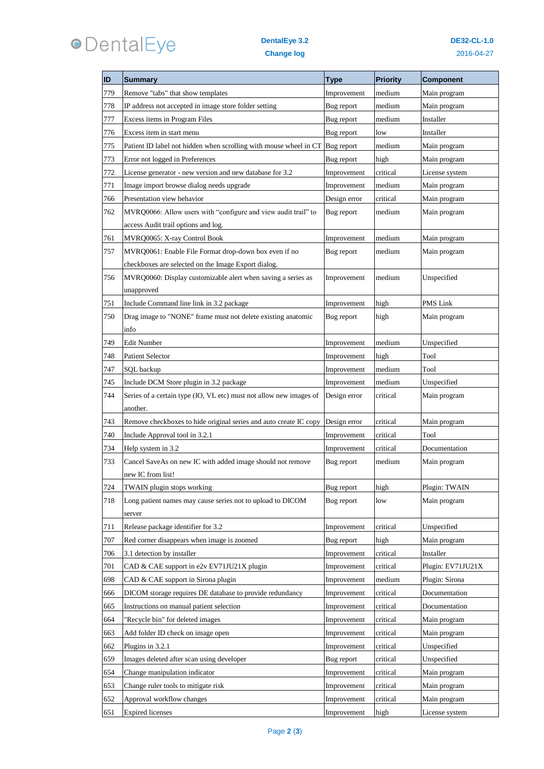

### **DentalEye 3.2 Change log**

| ID  | <b>Summary</b>                                                               | <b>Type</b>  | <b>Priority</b> | <b>Component</b>  |
|-----|------------------------------------------------------------------------------|--------------|-----------------|-------------------|
| 779 | Remove "tabs" that show templates                                            | Improvement  | medium          | Main program      |
| 778 | IP address not accepted in image store folder setting                        | Bug report   | medium          | Main program      |
| 777 | Excess items in Program Files                                                | Bug report   | medium          | Installer         |
| 776 | Excess item in start menu                                                    | Bug report   | low             | Installer         |
| 775 | Patient ID label not hidden when scrolling with mouse wheel in CT Bug report |              | medium          | Main program      |
| 773 | Error not logged in Preferences                                              | Bug report   | high            | Main program      |
| 772 | License generator - new version and new database for 3.2                     | Improvement  | critical        | License system    |
| 771 | Image import browse dialog needs upgrade                                     | Improvement  | medium          | Main program      |
| 766 | Presentation view behavior                                                   | Design error | critical        | Main program      |
| 762 | MVRQ0066: Allow users with "configure and view audit trail" to               | Bug report   | medium          | Main program      |
|     | access Audit trail options and log.                                          |              |                 |                   |
| 761 | MVRQ0065: X-ray Control Book                                                 | Improvement  | medium          | Main program      |
| 757 | MVRQ0061: Enable File Format drop-down box even if no                        | Bug report   | medium          | Main program      |
|     | checkboxes are selected on the Image Export dialog.                          |              |                 |                   |
| 756 | MVRQ0060: Display customizable alert when saving a series as                 | Improvement  | medium          | Unspecified       |
|     | unapproved                                                                   |              |                 |                   |
| 751 | Include Command line link in 3.2 package                                     | Improvement  | high            | PMS Link          |
| 750 | Drag image to "NONE" frame must not delete existing anatomic                 | Bug report   | high            | Main program      |
|     | info                                                                         |              |                 |                   |
| 749 | Edit Number                                                                  | Improvement  | medium          | Unspecified       |
| 748 | <b>Patient Selector</b>                                                      | Improvement  | high            | Tool              |
| 747 | <b>SQL</b> backup                                                            | Improvement  | medium          | Tool              |
| 745 | Include DCM Store plugin in 3.2 package                                      | Improvement  | medium          | Unspecified       |
| 744 | Series of a certain type (IO, VL etc) must not allow new images of           | Design error | critical        | Main program      |
|     | another.                                                                     |              |                 |                   |
| 743 | Remove checkboxes to hide original series and auto create IC copy            | Design error | critical        | Main program      |
| 740 | Include Approval tool in 3.2.1                                               | Improvement  | critical        | Tool              |
| 734 | Help system in 3.2                                                           | Improvement  | critical        | Documentation     |
| 733 | Cancel SaveAs on new IC with added image should not remove                   | Bug report   | medium          | Main program      |
|     | new IC from list!                                                            |              |                 |                   |
| 724 | <b>TWAIN</b> plugin stops working                                            | Bug report   | high            | Plugin: TWAIN     |
| 718 | Long patient names may cause series not to upload to DICOM                   | Bug report   | low             | Main program      |
|     | server                                                                       |              |                 |                   |
| 711 | Release package identifier for 3.2                                           | Improvement  | critical        | Unspecified       |
| 707 | Red corner disappears when image is zoomed                                   | Bug report   | high            | Main program      |
| 706 | 3.1 detection by installer                                                   | Improvement  | critical        | Installer         |
| 701 | CAD & CAE support in e2v EV71JU21X plugin                                    | Improvement  | critical        | Plugin: EV71JU21X |
| 698 | CAD & CAE support in Sirona plugin                                           | Improvement  | medium          | Plugin: Sirona    |
| 666 | DICOM storage requires DE database to provide redundancy                     | Improvement  | critical        | Documentation     |
| 665 | Instructions on manual patient selection                                     | Improvement  | critical        | Documentation     |
| 664 | 'Recycle bin" for deleted images                                             | Improvement  | critical        | Main program      |
| 663 | Add folder ID check on image open                                            | Improvement  | critical        | Main program      |
| 662 | Plugins in 3.2.1                                                             | Improvement  | critical        | Unspecified       |
| 659 | Images deleted after scan using developer                                    | Bug report   | critical        | Unspecified       |
| 654 | Change manipulation indicator                                                | Improvement  | critical        | Main program      |
| 653 | Change ruler tools to mitigate risk                                          | Improvement  | critical        | Main program      |
| 652 | Approval workflow changes                                                    | Improvement  | critical        | Main program      |
| 651 | <b>Expired</b> licenses                                                      | Improvement  | high            | License system    |